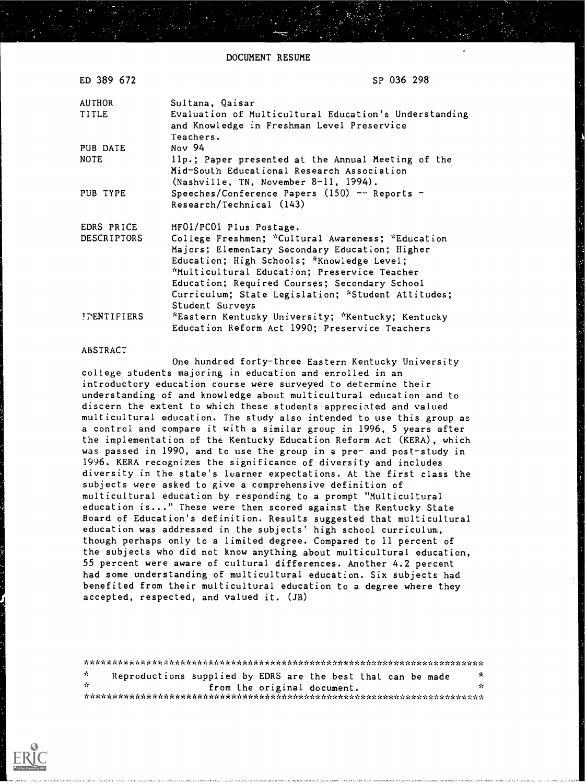DOCUMENT RESUME

| ED 389 672         | SP 036 298                                                                                                                                                                                                                                                                                                                  |
|--------------------|-----------------------------------------------------------------------------------------------------------------------------------------------------------------------------------------------------------------------------------------------------------------------------------------------------------------------------|
| <b>AUTHOR</b>      | Sultana, Qaisar                                                                                                                                                                                                                                                                                                             |
| TITLE              | Evaluation of Multicultural Education's Understanding<br>and Knowledge in Freshman Level Preservice<br>Teachers.                                                                                                                                                                                                            |
| PUB DATE           | Nov 94                                                                                                                                                                                                                                                                                                                      |
| <b>NOTE</b>        | llp.; Paper presented at the Annual Meeting of the<br>Mid-South Educational Research Association<br>(Nashville, TN, November 8-11, 1994).                                                                                                                                                                                   |
| PUB TYPE           | Speeches/Conference Papers $(150)$ -- Reports -<br>Research/Technical (143)                                                                                                                                                                                                                                                 |
| EDRS PRICE         | MF01/PC01 Plus Postage.                                                                                                                                                                                                                                                                                                     |
| DESCRIPTORS        | College Freshmen; *Cultural Awareness; *Education<br>Majors; Elementary Secondary Education; Higher<br>Education; High Schools; *Knowledge Level;<br>*Multicultural Education; Preservice Teacher<br>Education; Required Courses; Secondary School<br>Curriculum; State Legislation; *Student Attitudes;<br>Student Surveys |
| <b>IPENTIFIERS</b> | *Eastern Kentucky University; *Kentucky; Kentucky<br>Education Reform Act 1990; Preservice Teachers                                                                                                                                                                                                                         |

### ABSTRACT

One hundred forty-three Eastern Kentucky University college students majoring in education and enrolled in an introductory education course were surveyed to determine their understanding of and knowledge about multicultural education and to discern the extent to which these students appreciated and valued multicultural education. The study also intended to use this group as a control and compare it with a similar group in 1996, 5 years after the implementation of the Kentucky Education Reform Act (KERA), which was passed in 1990, and to use the group in a pre- and post-study in 1996. KERA recognizes the significance of diversity and includes diversity in the state's luarner expectations. At the first class the subjects were asked to give a comprehensive definition of multicultural education by responding to a prompt "Multicultural education is..." These were then scored against the Kentucky State Board of Education's definition. Results suggested that multicultural education was addressed in the subjects' high school curriculum, though perhaps only to a limited degree. Compared to 11 percent of the subjects who did not know anything about multicultural education, 55 percent were aware of cultural differences. Another 4.2 percent had some understanding of multicultural education. Six subjects had benefited from their multicultural education to a degree where they accepted, respected, and valued it. (JB)

| 70  | Reproductions supplied by EDRS are the best that can be made |                             |  |  |  |  |  | x  |
|-----|--------------------------------------------------------------|-----------------------------|--|--|--|--|--|----|
| -le |                                                              | from the original document. |  |  |  |  |  | 5c |
|     |                                                              |                             |  |  |  |  |  |    |

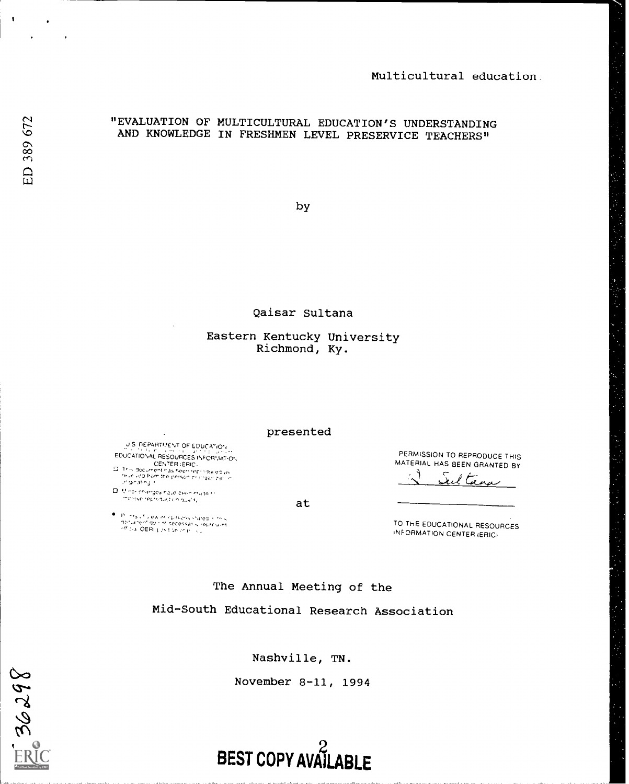# "EVALUATION OF MULTICULTURAL EDUCATION'S UNDERSTANDING AND KNOWLEDGE IN FRESHMEN LEVEL PRESERVICE TEACHERS"

by

Qaisar Sultana

# Eastern Kentucky University Richmond, Ky.

presented

J S DEPARTMENT OF EDUCATION EDUCATIONAL RESOURCES INFORMATION<br>- CENTER (ERIC)<br>- This document has been recruiting as<br>- This indifficult for prison or organization

 $\Box$  . Minor changes have been made to<br>merove reproduction quality

 $\bullet$  , p. lines of view on coloniens stated is they applicant to provide a the state of the state of provident in the original of the state of provident in the state of providence of providence of providence of providence

PERMISSION TO REPRODUCE THIS MATERIAL HAS BEEN GRANTED BY

 $\subset$ Seltana

TO THE EDUCATIONAL RESOURCES INFORMATION CENTER iERICI

The Annual Meeting of the

at

Mid-South Educational Research Association

Nashville, TN.

November 8-11, 1994

BEST COPY AVAILABLE

36298

 $\bullet$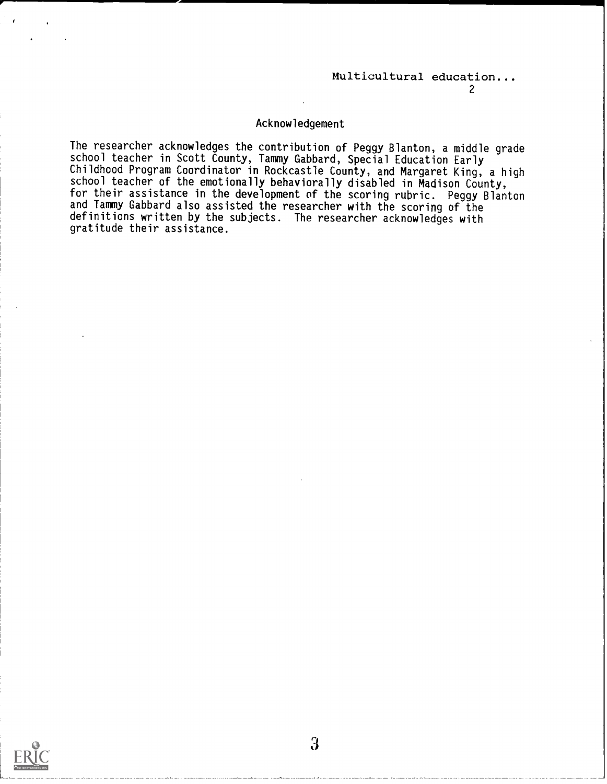#### $\mathcal{L}$  and  $\mathcal{L}$

### Acknowledgement

The researcher acknowledges the contribution of Peggy Blanton, a middle grade school teacher in Scott County, Tammy Gabbard, Special Education Early school teacher in Scott County, Tammy Gabbard, Special Education Early Childhood Program Coordinator in Rockcastle County, and Margaret King, a high school teacher of the emotionally behaviorally disabled in Madison County, for their assistance in the development of the scoring rubric. Peggy Blanton and Tammy Gabbard also assisted the researcher with the scoring of the definitions written by the subjects. The researcher acknowledges with gratitude their assistance.

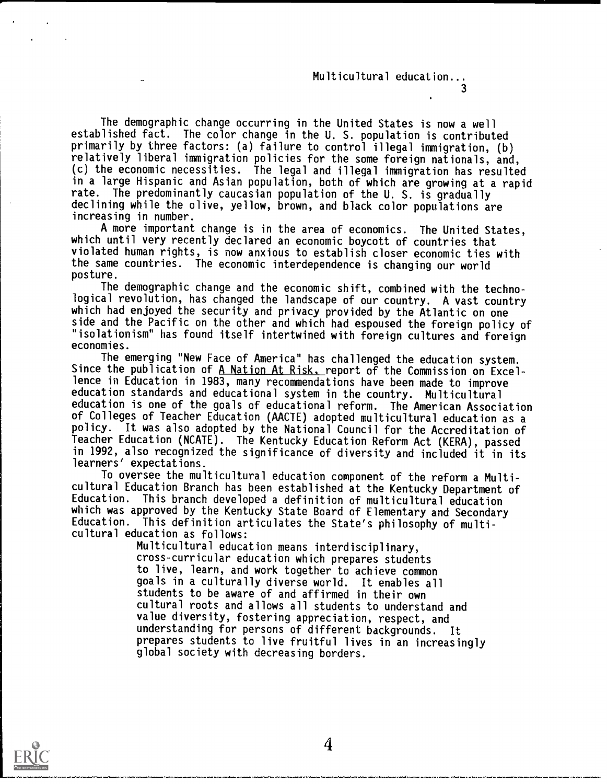$\mathcal{S}$  and  $\mathcal{S}$ 

The demographic change occurring in the United States is now a well established fact. The color change in the U. S. population is contributed primarily by three factors: (a) failure to control illegal immigration, (b) relatively liberal immigration policies for the some foreign nationals, and, (c) the economic necessities. The legal and illegal immigration has resulted in a large Hispanic and Asian population, both of which are growing at a rapid rate. The predominantly caucasian population of the U. S. is gradually declining while the olive, yellow, brown, and black color populations are increasing in number.

A more important change is in the area of economics. The United States, which until very recently declared an economic boycott of countries that violated human rights, is now anxious to establish closer economic ties with the same countries. The economic interdependence is changing our world posture.

The demographic change and the economic shift, combined with the technological revolution, has changed the landscape of our country. A vast country which had enjoyed the security and privacy provided by the Atlantic on one side and the Pacific on the other and which had espoused the foreign policy of "isolationism" has found itself intertwined with foreign cultures and foreign economies.

The emerging "New Face of America" has challenged the education system. Since the publication of A Nation At Risk. report of the Commission on Excellence in Education in 1983, many recommendations have been made to improve education standards and educational system in the country. Multicultural education is one of the goals of educational reform. The American Association of Colleges of Teacher Education (AACTE) adopted multicultural education as a policy. It was also adopted by the National Council for the Accreditation of Teacher Education (NCATE). The Kentucky Education Reform Act (KERA), passed in 1992, also recognized the significance of diversity and included it in its learners' expectations.

To oversee the multicultural education component of the reform a Multicultural Education Branch has been established at the Kentucky Department of Education. This branch developed a definition of multicultural education which was approved by the Kentucky State Board of Elementary and Secondary Education. This definition articulates the State's philosophy of multicultural education as follows:

> Multicultural education means interdisciplinary, cross-curricular education which prepares students to live, learn, and work together to achieve common goals in a culturally diverse world. It enables all students to be aware of and affirmed in their own cultural roots and allows all students to understand and value diversity, fostering appreciation, respect, and understanding for persons of different backgrounds. It prepares students to live fruitful lives in an increasingly global society with decreasing borders.



4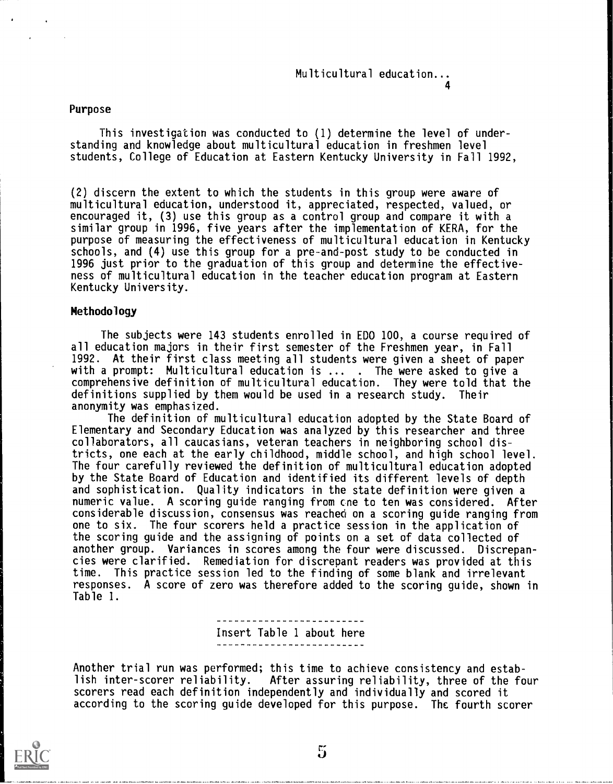### Purpose

This investigation was conducted to (1) determine the level of understanding and knowledge about multicultural education in freshmen level students, College of Education at Eastern Kentucky University in Fall 1992,

(2) discern the extent to which the students in this group were aware of multicultural education, understood it, appreciated, respected, valued, or encouraged it, (3) use this group as a control group and compare it with a similar group in 1996, five years after the implementation of KERA, for the purpose of measuring the effectiveness of multicultural education in Kentucky schools, and (4) use this group for a pre-and-post study to be conducted in 1996 just prior to the graduation of this group and determine the effectiveness of multicultural education in the teacher education program at Eastern Kentucky University.

### Methodology

The subjects were 143 students enrolled in EDO 100, a course required of all education majors in their first semester of the Freshmen year, in Fall 1992. At their first class meeting all students were given a sheet of paper with a prompt: Multicultural education is ... . The were asked to give a comprehensive definition of multicultural education. They were told that the definitions supplied by them would be used in a research study. Their anonymity was emphasized.

The definition of multicultural education adopted by the State Board of Elementary and Secondary Education was analyzed by this researcher and three collaborators, all caucasians, veteran teachers in neighboring school districts, one each at the early childhood, middle school, and high school level. The four carefully reviewed the definition of multicultural education adopted by the State Board of Education and identified its different levels of depth and sophistication. Quality indicators in the state definition were given a numeric value. A scoring guide ranging from cne to ten was considered. After considerable discussion, consensus was reached on a scoring guide ranging from one to six. The four scorers held a practice session in the application of the scoring guide and the assigning of points on a set of data collected of another group. Variances in scores among the four were discussed. Discrepancies were clarified. Remediation for discrepant readers was provided at this time. This practice session led to the finding of some blank and irrelevant responses. A score of zero was therefore added to the scoring guide, shown in Table 1.

> Insert Table 1 about here ------------------------

Another trial run was performed; this time to achieve consistency and estab-<br>lish inter-scorer reliability. After assuring reliability, three of the fo After assuring reliability, three of the four scorers read each definition independently and individually and scored it according to the scoring guide developed for this purpose. The fourth scorer

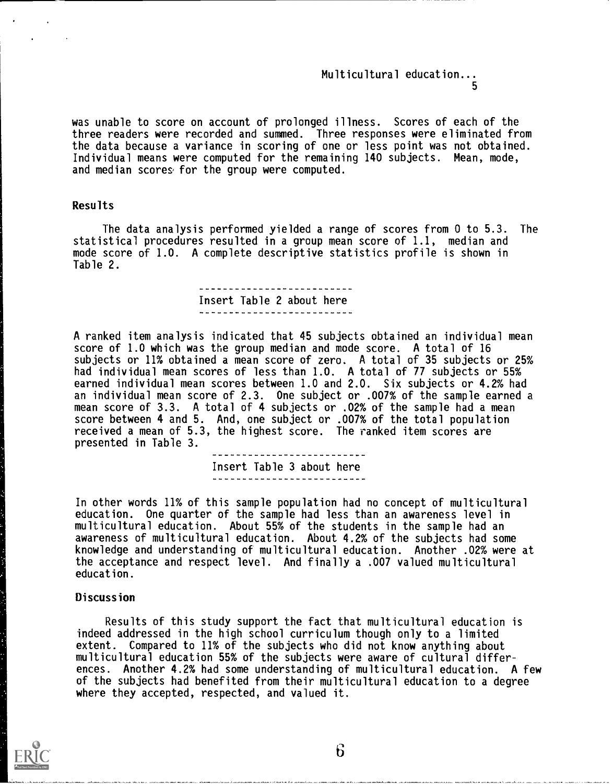### Multicultural education... 5

was unable to score on account of prolonged illness. Scores of each of the three readers were recorded and summed. Three responses were eliminated from the data because a variance in scoring of one or less point was not obtained. Individual means were computed for the remaining 140 subjects. Mean, mode, and median scores for the group were computed.

# Results

The data analysis performed yielded a range of scores from 0 to 5.3. The statistical procedures resulted in a group mean score of 1.1, median and mode score of 1.0. A complete descriptive statistics profile is shown in Table 2.

# -------------------Insert Table 2 about here

A ranked item analysis indicated that 45 subjects obtained an individual mean score of 1.0 which was the group median and mode score. A total of 16 subjects or 11% obtained a mean score of zero. A total of 35 subjects or 25% had individual mean scores of less than 1.0. A total of 77 subjects or 55% earned individual mean scores between 1.0 and 2.0. Six subjects or 4.2% had an individual mean score of 2.3. One subject or .007% of the sample earned a mean score of 3.3. A total of 4 subjects or .02% of the sample had a mean score between 4 and 5. And, one subject or .007% of the total population received a mean of 5.3, the highest score. The ranked item scores are presented in Table 3.

> 1000 - The Control of Control of The Control of The Control of The Control of The Control of The Control of Th<br>2002 - The Control of The Control of The Control of The Control of The Control of The Control of The Control o Insert Table 3 about here

In other words 11% of this sample population had no concept of multicultural education. One quarter of the sample had less than an awareness level in multicultural education. About 55% of the students in the sample had an awareness of multicultural education. About 4.2% of the subjects had some knowledge and understanding of multicultural education. Another .02% were at the acceptance and respect level. And finally a .007 valued multicultural education.

### Discussion

Results of this study support the fact that multicultural education is indeed addressed in the high school curriculum though only to a limited extent. Compared to 11% of the subjects who did not know anything about multicultural education 55% of the subjects were aware of cultural differences. Another 4.2% had some understanding of multicultural education. A few of the subjects had benefited from their multicultural education to a degree where they accepted, respected, and valued it.



 $6\overline{6}$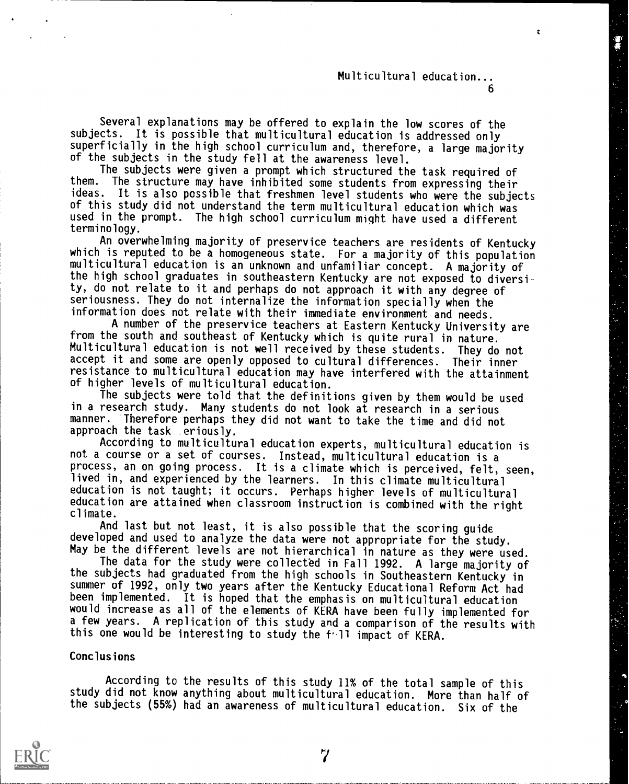# Multicultural education... 6

 $\mathbf{r}$ 

Several explanations may be offered to explain the low scores of the subjects. It is possible that multicultural education is addressed only superficially in the high school curriculum and, therefore, a large majority of the subjects in the study fell at the awareness level.

The subjects were given a prompt which structured the task required of them. The structure may have inhibited some students from expressing their The structure may have inhibited some students from expressing their ideas. It is also possible that freshmen level students who were the subjects of this study did not understand the term multicultural education which was used in the prompt. The high school curriculum might have used a different terminology.

An overwhelming majority of preservice teachers are residents of Kentucky which is reputed to be a homogeneous state. For a majority of this population multicultural education is an unknown and unfamiliar concept. A majority of the high school graduates in southeastern Kentucky are not exposed to diversity, do not relate to it and perhaps do not approach it with any degree of seriousness. They do not internalize the information specially when the information does not relate with their immediate environment and needs.

A number of the preservice teachers at Eastern Kentucky University are from the south and southeast of Kentucky which is quite rural in nature. Multicultural education is not well received by these students. They do not accept it and some are openly opposed to cultural differences. Their inner resistance to multicultural education may have interfered with the attainment of higher levels of multicultural education.

The subjects were told that the definitions given by them would be used in a research study. Many students do not look at research in a serious manner. Therefore perhaps they did not want to take the time and did not approach the task eriously.

According to multicultural education experts, multicultural education is<br>not a course or a set of courses. Instead, multicultural education is a process, an on going process. It is a climate which is perceived, felt, seen, lived in, and experienced by the learners. In this climate multicultural education is not taught; it occurs. Perhaps higher levels of multicultural education are attained when classroom instruction is combined with the right climate.

And last but not least, it is also possible that the scoring guide developed and used to analyze the data were not appropriate for the study. May be the different levels are not hierarchical in nature as they were used.

The data for the study were collected in Fall 1992. A large majority of the subjects had graduated from the high schools in Southeastern Kentucky in summer of 1992, only two years after the Kentucky Educational Reform Act had been implemented. It is hoped that the emphasis on multicultural education would increase as all of the elements of KERA have been fully implemented for a few years. A replication of this study and a comparison of the results with this one would be interesting to study the f' ll impact of KERA.

### Conclusions

According to the results of this study 11% of the total sample of this study did not know anything about multicultural education. More than half of the subjects (55%) had an awareness of multicultural education. Six of the



7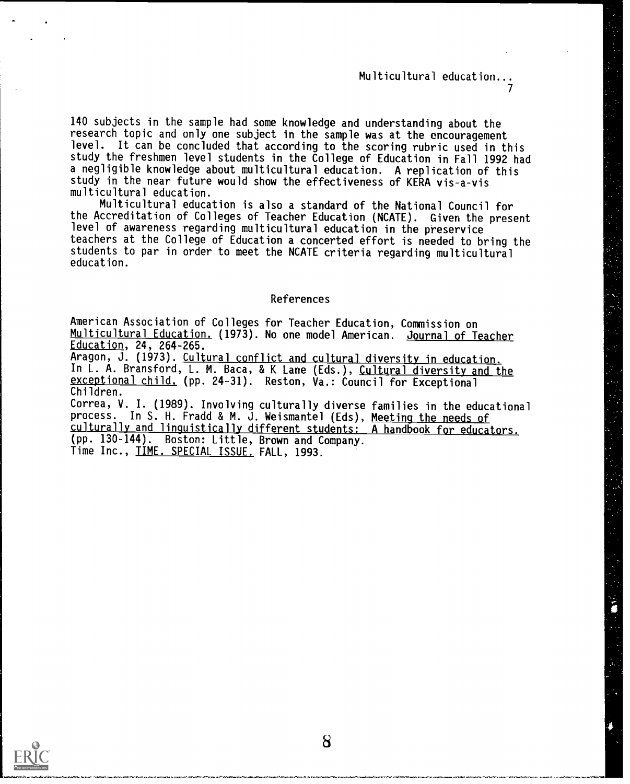# Multicultural education...  $\mathcal{T}$  and  $\mathcal{T}$

140 subjects in the sample had some knowledge and understanding about the research topic and only one subject in the sample was at the encouragement level. It can be concluded that according to the scoring rubric used in this study the freshmen level students in the College of Education in Fall 1992 had a negligible knowledge about multicultural education. A replication of this study in the near future would show the effectiveness of KERA vis-a-vis multicultural education.

Multicultural education is also a standard of the National Council for the Accreditation of Colleges of Teacher Education (NCATE). Given the present level of awareness regarding multicultural education in the preservice teachers at the College of Education a concerted effort is needed to bring the students to par in order to meet the NCATE criteria regarding multicultural education.

### References

American Association of Colleges for Teacher Education, Commission on Multicultural Education. (1973). No one model American. Journal of Teacher Education, 24, 264-265.

Aragon, J. (1973). Cultural conflict and cultural diversity in education. In L. A. Bransford, L. M. Baca, & K Lane (Eds.), Cultural diversity and the exceptional child. (pp. 24-31). Reston, Va.: Council for Exceptional Children.

Correa, V. I. (1989). Involving culturally diverse families in the educational process. In S. H. Fradd & M. J. Weismantel (Eds), Meeting the needs of culturally and linguistically different students: A handbook for educators. (pp. 130-144). Boston: Little, Brown and Company. Time Inc., TIME. SPECIAL ISSUE. FALL, 1993.



8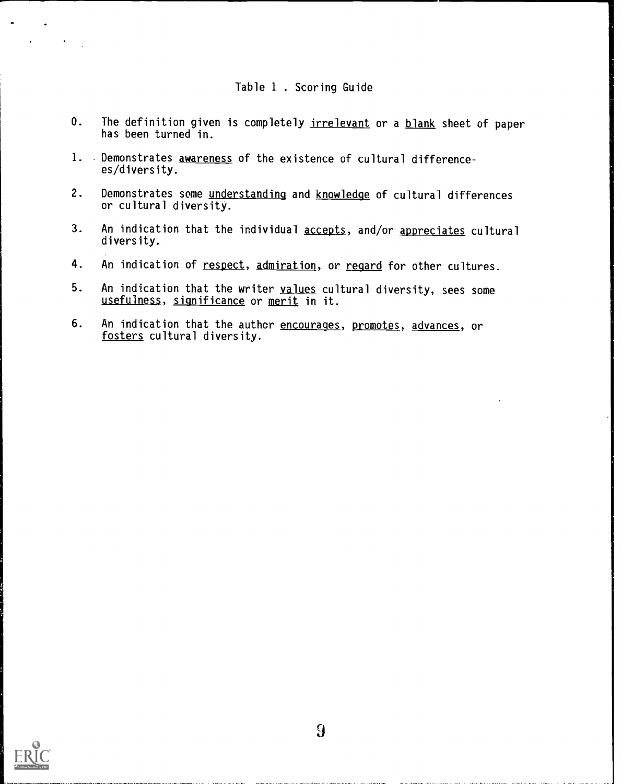# Table 1 . Scoring Guide

- 0. The definition given is completely irrelevant or a blank sheet of paper has been turned in.
- 1. Demonstrates awareness of the existence of cultural differencees/diversity.
- 2. Demonstrates some understanding and knowledge of cultural differences or cultural diversity.
- 3. An indication that the individual accepts, and/or appreciates cultural diversity.
- 4. An indication of respect, admiration, or regard for other cultures.
- 5. An indication that the writer values cultural diversity, sees some usefulness, significance or merit in it.
- 6. An indication that the author encourages, promotes, advances, or fosters cultural diversity.

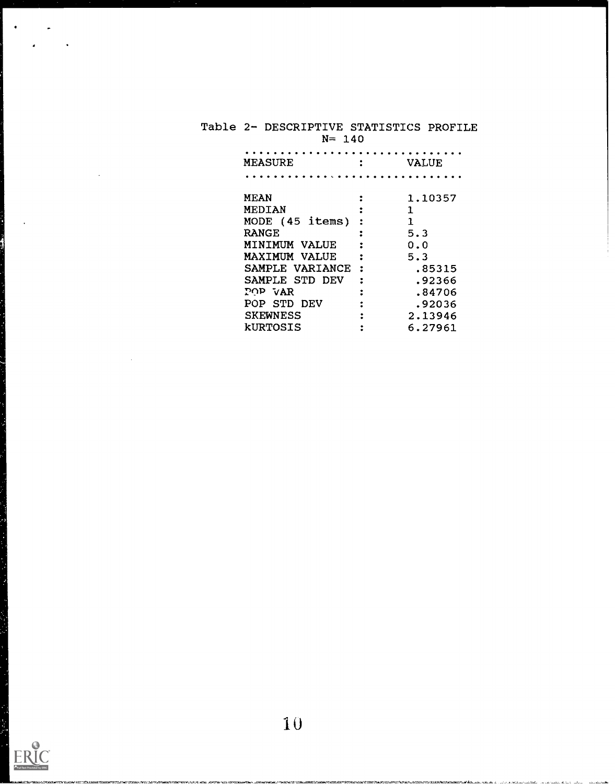| DIE ZT DESCRIPTIVE SIATISTICS PROFILE<br>$N = 140$ |  |              |  |  |  |  |
|----------------------------------------------------|--|--------------|--|--|--|--|
| MEASURE                                            |  | <b>VALUE</b> |  |  |  |  |
|                                                    |  |              |  |  |  |  |
| <b>MEAN</b>                                        |  | 1,10357      |  |  |  |  |
| MEDIAN                                             |  |              |  |  |  |  |
| MODE (45 items)                                    |  | 1            |  |  |  |  |
| <b>RANGE</b>                                       |  | 5.3          |  |  |  |  |
| MINIMUM VALUE                                      |  | 0.0          |  |  |  |  |
| MAXIMUM VALUE                                      |  | 5.3          |  |  |  |  |
| SAMPLE VARIANCE                                    |  | .85315       |  |  |  |  |
| SAMPLE STD DEV                                     |  | .92366       |  |  |  |  |
| POP VAR                                            |  | .84706       |  |  |  |  |
| POP STD DEV                                        |  | .92036       |  |  |  |  |
| <b>SKEWNESS</b>                                    |  | 2.13946      |  |  |  |  |
|                                                    |  |              |  |  |  |  |

kURTOSIS : 6.27961

<u>لا المحمد المراجع المدينة المستحمل المتح</u>

# Table 2- DESCRIPTIVE STATISTICS PROFILE

 $\ddot{\phantom{a}}$